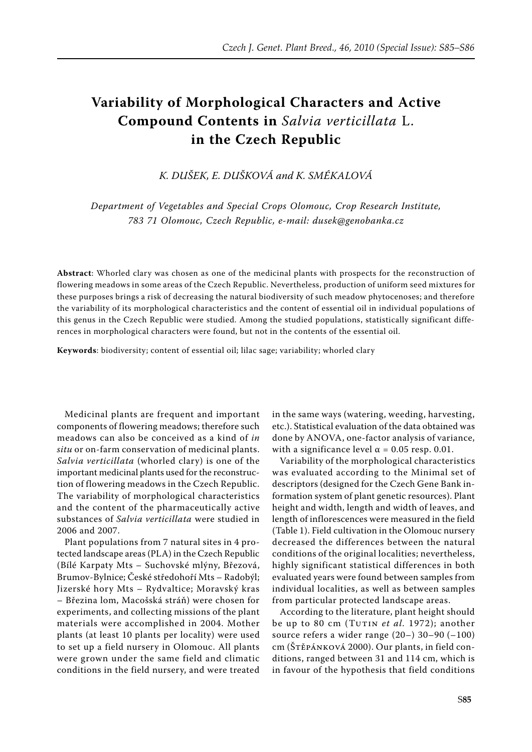## **Variability of Morphological Characters and Active Compound Contents in** *Salvia verticillata* L. **in the Czech Republic**

*K. Dušek, E. Dušková and K. Smékalová*

*Department of Vegetables and Special Crops Olomouc, Crop Research Institute, 783 71 Olomouc, Czech Republic, e-mail: dusek@genobanka.cz*

**Abstract**: Whorled clary was chosen as one of the medicinal plants with prospects for the reconstruction of flowering meadows in some areas of the Czech Republic. Nevertheless, production of uniform seed mixtures for these purposes brings a risk of decreasing the natural biodiversity of such meadow phytocenoses; and therefore the variability of its morphological characteristics and the content of essential oil in individual populations of this genus in the Czech Republic were studied. Among the studied populations, statistically significant differences in morphological characters were found, but not in the contents of the essential oil.

**Keywords**: biodiversity; content of essential oil; lilac sage; variability; whorled clary

Medicinal plants are frequent and important components of flowering meadows; therefore such meadows can also be conceived as a kind of *in situ* or on-farm conservation of medicinal plants. *Salvia verticillata* (whorled clary) is one of the important medicinal plants used for the reconstruction of flowering meadows in the Czech Republic. The variability of morphological characteristics and the content of the pharmaceutically active substances of *Salvia verticillata* were studied in 2006 and 2007.

Plant populations from 7 natural sites in 4 protected landscape areas (PLA) in the Czech Republic (Bílé Karpaty Mts – Suchovské mlýny, Březová, Brumov-Bylnice; České středohoří Mts – Radobýl; Jizerské hory Mts – Rydvaltice; Moravský kras – Březina lom, Macošská stráň) were chosen for experiments, and collecting missions of the plant materials were accomplished in 2004. Mother plants (at least 10 plants per locality) were used to set up a field nursery in Olomouc. All plants were grown under the same field and climatic conditions in the field nursery, and were treated

in the same ways (watering, weeding, harvesting, etc.). Statistical evaluation of the data obtained was done by ANOVA, one-factor analysis of variance, with a significance level  $\alpha$  = 0.05 resp. 0.01.

Variability of the morphological characteristics was evaluated according to the Minimal set of descriptors (designed for the Czech Gene Bank information system of plant genetic resources). Plant height and width, length and width of leaves, and length of inflorescences were measured in the field (Table 1). Field cultivation in the Olomouc nursery decreased the differences between the natural conditions of the original localities; nevertheless, highly significant statistical differences in both evaluated years were found between samples from individual localities, as well as between samples from particular protected landscape areas.

According to the literature, plant height should be up to 80 cm (TUTIN *et al.* 1972); another source refers a wider range  $(20-)$  30-90  $(-100)$ cm (Štěpánková 2000). Our plants, in field conditions, ranged between 31 and 114 cm, which is in favour of the hypothesis that field conditions